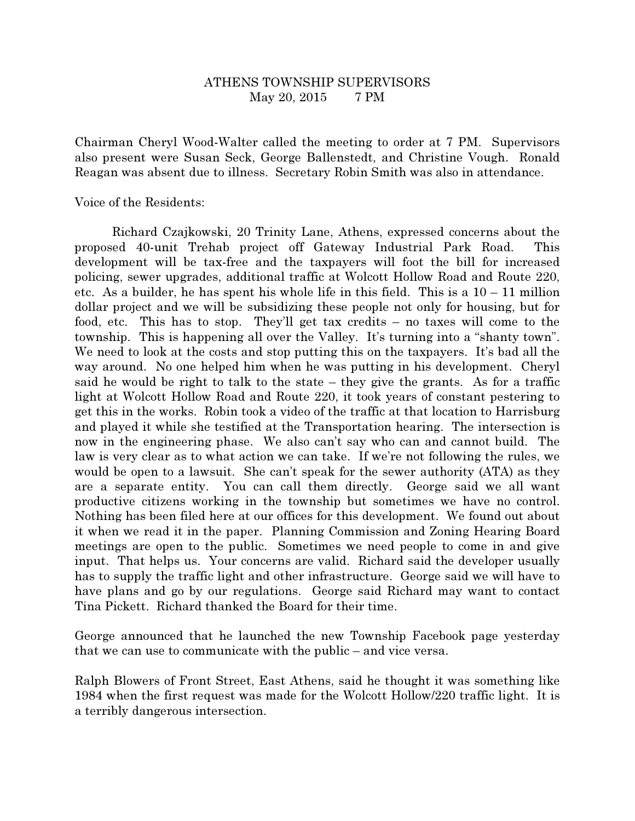## ATHENS TOWNSHIP SUPERVISORS May 20, 2015 7 PM

Chairman Cheryl Wood-Walter called the meeting to order at 7 PM. Supervisors also present were Susan Seck, George Ballenstedt, and Christine Vough. Ronald Reagan was absent due to illness. Secretary Robin Smith was also in attendance.

Voice of the Residents:

 Richard Czajkowski, 20 Trinity Lane, Athens, expressed concerns about the proposed 40-unit Trehab project off Gateway Industrial Park Road. This development will be tax-free and the taxpayers will foot the bill for increased policing, sewer upgrades, additional traffic at Wolcott Hollow Road and Route 220, etc. As a builder, he has spent his whole life in this field. This is a  $10 - 11$  million dollar project and we will be subsidizing these people not only for housing, but for food, etc. This has to stop. They'll get tax credits – no taxes will come to the township. This is happening all over the Valley. It's turning into a "shanty town". We need to look at the costs and stop putting this on the taxpayers. It's bad all the way around. No one helped him when he was putting in his development. Cheryl said he would be right to talk to the state – they give the grants. As for a traffic light at Wolcott Hollow Road and Route 220, it took years of constant pestering to get this in the works. Robin took a video of the traffic at that location to Harrisburg and played it while she testified at the Transportation hearing. The intersection is now in the engineering phase. We also can't say who can and cannot build. The law is very clear as to what action we can take. If we're not following the rules, we would be open to a lawsuit. She can't speak for the sewer authority (ATA) as they are a separate entity. You can call them directly. George said we all want productive citizens working in the township but sometimes we have no control. Nothing has been filed here at our offices for this development. We found out about it when we read it in the paper. Planning Commission and Zoning Hearing Board meetings are open to the public. Sometimes we need people to come in and give input. That helps us. Your concerns are valid. Richard said the developer usually has to supply the traffic light and other infrastructure. George said we will have to have plans and go by our regulations. George said Richard may want to contact Tina Pickett. Richard thanked the Board for their time.

George announced that he launched the new Township Facebook page yesterday that we can use to communicate with the public – and vice versa.

Ralph Blowers of Front Street, East Athens, said he thought it was something like 1984 when the first request was made for the Wolcott Hollow/220 traffic light. It is a terribly dangerous intersection.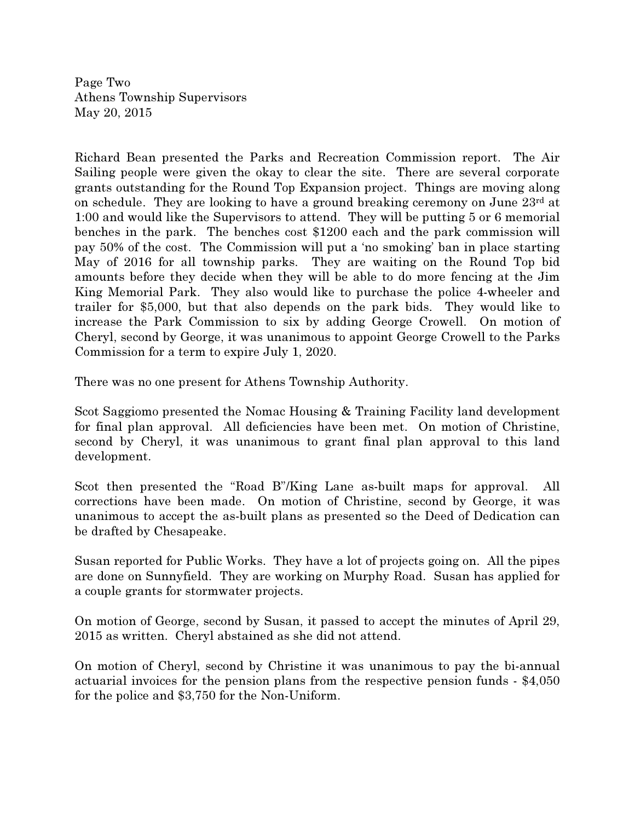Page Two Athens Township Supervisors May 20, 2015

Richard Bean presented the Parks and Recreation Commission report. The Air Sailing people were given the okay to clear the site. There are several corporate grants outstanding for the Round Top Expansion project. Things are moving along on schedule. They are looking to have a ground breaking ceremony on June  $23<sup>rd</sup>$  at 1:00 and would like the Supervisors to attend. They will be putting 5 or 6 memorial benches in the park. The benches cost \$1200 each and the park commission will pay 50% of the cost. The Commission will put a 'no smoking' ban in place starting May of 2016 for all township parks. They are waiting on the Round Top bid amounts before they decide when they will be able to do more fencing at the Jim King Memorial Park. They also would like to purchase the police 4-wheeler and trailer for \$5,000, but that also depends on the park bids. They would like to increase the Park Commission to six by adding George Crowell. On motion of Cheryl, second by George, it was unanimous to appoint George Crowell to the Parks Commission for a term to expire July 1, 2020.

There was no one present for Athens Township Authority.

Scot Saggiomo presented the Nomac Housing & Training Facility land development for final plan approval. All deficiencies have been met. On motion of Christine, second by Cheryl, it was unanimous to grant final plan approval to this land development.

Scot then presented the "Road B"/King Lane as-built maps for approval. All corrections have been made. On motion of Christine, second by George, it was unanimous to accept the as-built plans as presented so the Deed of Dedication can be drafted by Chesapeake.

Susan reported for Public Works. They have a lot of projects going on. All the pipes are done on Sunnyfield. They are working on Murphy Road. Susan has applied for a couple grants for stormwater projects.

On motion of George, second by Susan, it passed to accept the minutes of April 29, 2015 as written. Cheryl abstained as she did not attend.

On motion of Cheryl, second by Christine it was unanimous to pay the bi-annual actuarial invoices for the pension plans from the respective pension funds - \$4,050 for the police and \$3,750 for the Non-Uniform.